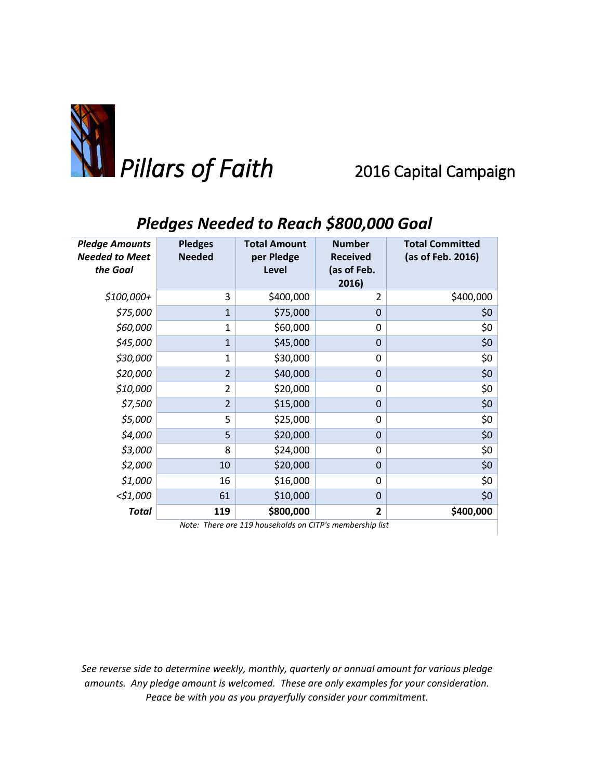

## *Pledges Needed to Reach \$800,000 Goal*

| <b>Pledge Amounts</b><br>Needed to Meet<br>the Goal      | <b>Pledges</b><br><b>Needed</b> | <b>Total Amount</b><br>per Pledge<br>Level | <b>Number</b><br><b>Received</b><br>(as of Feb.<br>2016) | <b>Total Committed</b><br>(as of Feb. 2016) |  |  |  |
|----------------------------------------------------------|---------------------------------|--------------------------------------------|----------------------------------------------------------|---------------------------------------------|--|--|--|
| $$100,000+$                                              | 3                               | \$400,000                                  | 2                                                        | \$400,000                                   |  |  |  |
| \$75,000                                                 | $\mathbf{1}$                    | \$75,000                                   | 0                                                        | \$0                                         |  |  |  |
| \$60,000                                                 | $\mathbf 1$                     | \$60,000                                   | $\Omega$                                                 | \$0                                         |  |  |  |
| \$45,000                                                 | $\mathbf{1}$                    | \$45,000                                   | 0                                                        | \$0                                         |  |  |  |
| \$30,000                                                 | 1                               | \$30,000                                   | $\Omega$                                                 | \$0                                         |  |  |  |
| \$20,000                                                 | $\overline{2}$                  | \$40,000                                   | $\mathbf 0$                                              | \$0                                         |  |  |  |
| \$10,000                                                 | $\overline{2}$                  | \$20,000                                   | 0                                                        | \$0                                         |  |  |  |
| \$7,500                                                  | $\overline{2}$                  | \$15,000                                   | $\mathbf 0$                                              | \$0                                         |  |  |  |
| \$5,000                                                  | 5                               | \$25,000                                   | 0                                                        | \$0                                         |  |  |  |
| \$4,000                                                  | 5                               | \$20,000                                   | 0                                                        | \$0                                         |  |  |  |
| \$3,000                                                  | 8                               | \$24,000                                   | $\Omega$                                                 | \$0                                         |  |  |  |
| \$2,000                                                  | 10                              | \$20,000                                   | $\mathbf 0$                                              | \$0                                         |  |  |  |
| \$1,000                                                  | 16                              | \$16,000                                   | 0                                                        | \$0                                         |  |  |  |
| <\$1,000                                                 | 61                              | \$10,000                                   | 0                                                        | \$0                                         |  |  |  |
| <b>Total</b>                                             | 119                             | \$800,000                                  | $\overline{2}$                                           | \$400,000                                   |  |  |  |
| Note: There are 119 households on CITP's membership list |                                 |                                            |                                                          |                                             |  |  |  |

*See reverse side to determine weekly, monthly, quarterly or annual amount for various pledge amounts. Any pledge amount is welcomed. These are only examples for your consideration. Peace be with you as you prayerfully consider your commitment.*